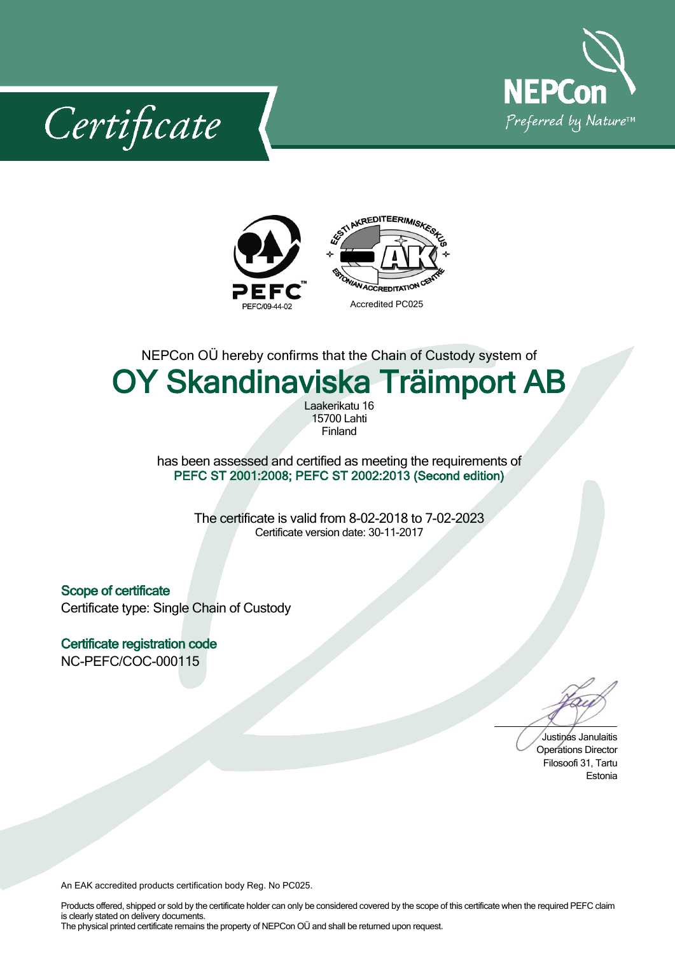

Certificate



NEPCon OÜ hereby confirms that the Chain of Custody system of

## **OY Skandinaviska Träimport AB**

Laakerikatu 16 15700Lahti Finland

has been assessed and certified as meeting the requirements of **PEFC ST 2001:2008; PEFC ST 2002:2013 (Second edition)**

> The certificate is valid from 8-02-2018 to 7-02-2023 Certificate version date: 30-11-2017

**Scope of certificate** Certificate type: Single Chain of Custody

**Certificate registration code** NC-PEFC/COC-000115

Justinas Janulaitis Operations Director Filosoofi 31, Tartu Estonia

An EAK accredited products certification body Reg. No PC025.

Products offered, shipped or sold by the certificate holder can only be considered covered by the scope of this certificate when the required PEFC claim is clearly stated on delivery documents. The physical printed certificate remains the property of NEPCon OÜ and shall be returned upon request.